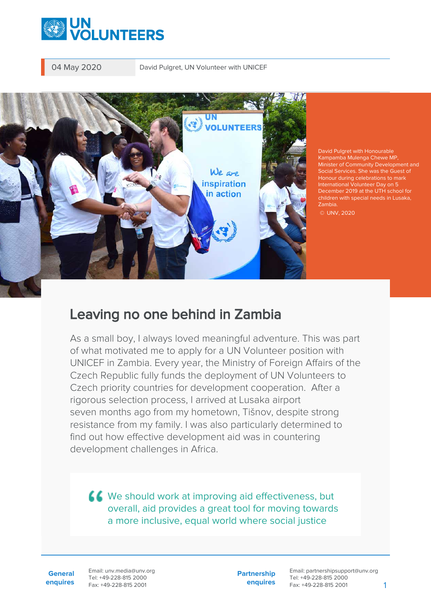



David Pulgret with Honourable Kampamba Mulenga Chewe MP, Minister of Community Development and Social Services. She was the Guest of Honour during celebrations to mark International Volunteer Day on 5 December 2019 at the UTH school for children with special needs in Lusaka, Zambia.

© UNV, 2020

## Leaving no one behind in Zambia

As a small boy, I always loved meaningful adventure. This was part of what motivated me to apply for a UN Volunteer position with UNICEF in Zambia. Every year, the Ministry of Foreign Affairs of the Czech Republic fully funds the deployment of UN Volunteers to Czech priority countries for development cooperation. After a rigorous selection process, I arrived at Lusaka airport seven months ago from my hometown, Tišnov, despite strong resistance from my family. I was also particularly determined to find out how effective development aid was in countering development challenges in Africa.

KK We should work at improving aid effectiveness, but overall, aid provides a great tool for moving towards a more inclusive, equal world where social justice

**General enquires** Email: unv.media@unv.org Tel: +49-228-815 2000 Fax: +49-228-815 2001

**Partnership enquires** Email: partnershipsupport@unv.org Tel: +49-228-815 2000 Fax: +49-228-815 2001 1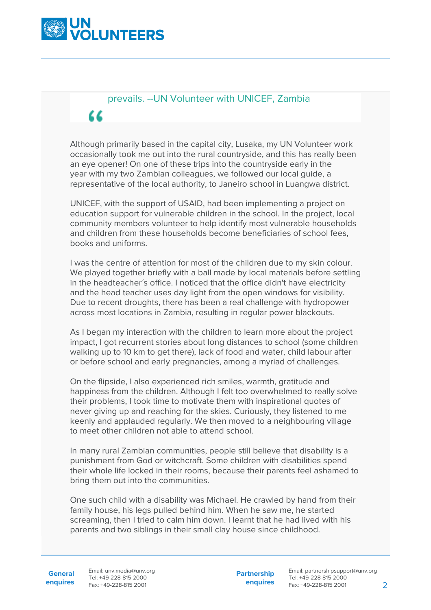

## prevails. --UN Volunteer with UNICEF, Zambia "

Although primarily based in the capital city, Lusaka, my UN Volunteer work occasionally took me out into the rural countryside, and this has really been an eye opener! On one of these trips into the countryside early in the year with my two Zambian colleagues, we followed our local guide, a representative of the local authority, to Janeiro school in Luangwa district.

UNICEF, with the support of USAID, had been implementing a project on education support for vulnerable children in the school. In the project, local community members volunteer to help identify most vulnerable households and children from these households become beneficiaries of school fees, books and uniforms.

I was the centre of attention for most of the children due to my skin colour. We played together briefly with a ball made by local materials before settling in the headteacher´s office. I noticed that the office didn't have electricity and the head teacher uses day light from the open windows for visibility. Due to recent droughts, there has been a real challenge with hydropower across most locations in Zambia, resulting in regular power blackouts.

As I began my interaction with the children to learn more about the project impact, I got recurrent stories about long distances to school (some children walking up to 10 km to get there), lack of food and water, child labour after or before school and early pregnancies, among a myriad of challenges.

On the flipside, I also experienced rich smiles, warmth, gratitude and happiness from the children. Although I felt too overwhelmed to really solve their problems, I took time to motivate them with inspirational quotes of never giving up and reaching for the skies. Curiously, they listened to me keenly and applauded regularly. We then moved to a neighbouring village to meet other children not able to attend school.

In many rural Zambian communities, people still believe that disability is a punishment from God or witchcraft. Some children with disabilities spend their whole life locked in their rooms, because their parents feel ashamed to bring them out into the communities.

One such child with a disability was Michael. He crawled by hand from their family house, his legs pulled behind him. When he saw me, he started screaming, then I tried to calm him down. I learnt that he had lived with his parents and two siblings in their small clay house since childhood.

**Partnership enquires**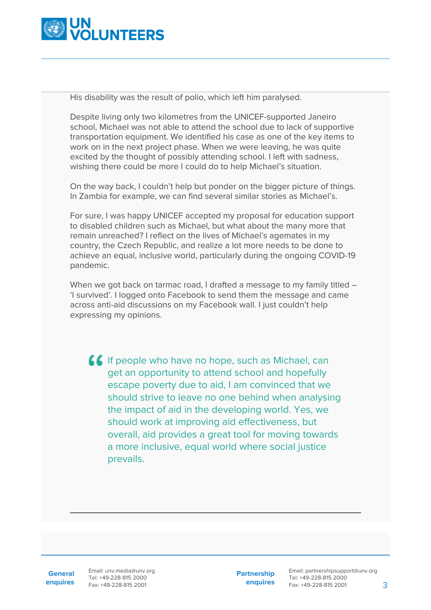

His disability was the result of polio, which left him paralysed.

Despite living only two kilometres from the UNICEF-supported Janeiro school, Michael was not able to attend the school due to lack of supportive transportation equipment. We identified his case as one of the key items to work on in the next project phase. When we were leaving, he was quite excited by the thought of possibly attending school. I left with sadness, wishing there could be more I could do to help Michael's situation.

On the way back, I couldn't help but ponder on the bigger picture of things. In Zambia for example, we can find several similar stories as Michael's.

For sure, I was happy UNICEF accepted my proposal for education support to disabled children such as Michael, but what about the many more that remain unreached? I reflect on the lives of Michael's agemates in my country, the Czech Republic, and realize a lot more needs to be done to achieve an equal, inclusive world, particularly during the ongoing COVID-19 pandemic.

When we got back on tarmac road, I drafted a message to my family titled -'I survived'. I logged onto Facebook to send them the message and came across anti-aid discussions on my Facebook wall. I just couldn't help expressing my opinions.

If If people who have no hope, such as Michael, can get an opportunity to attend school and hopefully escape poverty due to aid, I am convinced that we should strive to leave no one behind when analysing the impact of aid in the developing world. Yes, we should work at improving aid effectiveness, but overall, aid provides a great tool for moving towards a more inclusive, equal world where social justice prevails.

**General enquires** Email: unv.media@unv.org Tel: +49-228-815 2000 Fax: +49-228-815 2001

**Partnership enquires** Email: partnershipsupport@unv.org Tel: +49-228-815 2000 Fax: +49-228-815 2001 3